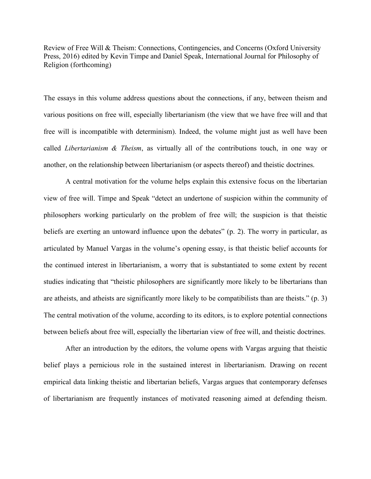Review of Free Will & Theism: Connections, Contingencies, and Concerns (Oxford University Press, 2016) edited by Kevin Timpe and Daniel Speak, International Journal for Philosophy of Religion (forthcoming)

The essays in this volume address questions about the connections, if any, between theism and various positions on free will, especially libertarianism (the view that we have free will and that free will is incompatible with determinism). Indeed, the volume might just as well have been called *Libertarianism & Theism*, as virtually all of the contributions touch, in one way or another, on the relationship between libertarianism (or aspects thereof) and theistic doctrines.

A central motivation for the volume helps explain this extensive focus on the libertarian view of free will. Timpe and Speak "detect an undertone of suspicion within the community of philosophers working particularly on the problem of free will; the suspicion is that theistic beliefs are exerting an untoward influence upon the debates" (p. 2). The worry in particular, as articulated by Manuel Vargas in the volume's opening essay, is that theistic belief accounts for the continued interest in libertarianism, a worry that is substantiated to some extent by recent studies indicating that "theistic philosophers are significantly more likely to be libertarians than are atheists, and atheists are significantly more likely to be compatibilists than are theists." (p. 3) The central motivation of the volume, according to its editors, is to explore potential connections between beliefs about free will, especially the libertarian view of free will, and theistic doctrines.

After an introduction by the editors, the volume opens with Vargas arguing that theistic belief plays a pernicious role in the sustained interest in libertarianism. Drawing on recent empirical data linking theistic and libertarian beliefs, Vargas argues that contemporary defenses of libertarianism are frequently instances of motivated reasoning aimed at defending theism.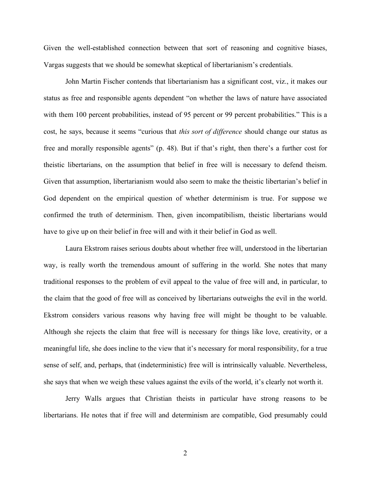Given the well-established connection between that sort of reasoning and cognitive biases, Vargas suggests that we should be somewhat skeptical of libertarianism's credentials.

John Martin Fischer contends that libertarianism has a significant cost, viz., it makes our status as free and responsible agents dependent "on whether the laws of nature have associated with them 100 percent probabilities, instead of 95 percent or 99 percent probabilities." This is a cost, he says, because it seems "curious that *this sort of difference* should change our status as free and morally responsible agents" (p. 48). But if that's right, then there's a further cost for theistic libertarians, on the assumption that belief in free will is necessary to defend theism. Given that assumption, libertarianism would also seem to make the theistic libertarian's belief in God dependent on the empirical question of whether determinism is true. For suppose we confirmed the truth of determinism. Then, given incompatibilism, theistic libertarians would have to give up on their belief in free will and with it their belief in God as well.

Laura Ekstrom raises serious doubts about whether free will, understood in the libertarian way, is really worth the tremendous amount of suffering in the world. She notes that many traditional responses to the problem of evil appeal to the value of free will and, in particular, to the claim that the good of free will as conceived by libertarians outweighs the evil in the world. Ekstrom considers various reasons why having free will might be thought to be valuable. Although she rejects the claim that free will is necessary for things like love, creativity, or a meaningful life, she does incline to the view that it's necessary for moral responsibility, for a true sense of self, and, perhaps, that (indeterministic) free will is intrinsically valuable. Nevertheless, she says that when we weigh these values against the evils of the world, it's clearly not worth it.

Jerry Walls argues that Christian theists in particular have strong reasons to be libertarians. He notes that if free will and determinism are compatible, God presumably could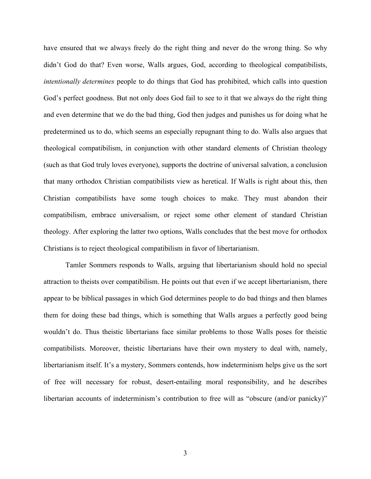have ensured that we always freely do the right thing and never do the wrong thing. So why didn't God do that? Even worse, Walls argues, God, according to theological compatibilists, *intentionally determines* people to do things that God has prohibited, which calls into question God's perfect goodness. But not only does God fail to see to it that we always do the right thing and even determine that we do the bad thing, God then judges and punishes us for doing what he predetermined us to do, which seems an especially repugnant thing to do. Walls also argues that theological compatibilism, in conjunction with other standard elements of Christian theology (such as that God truly loves everyone), supports the doctrine of universal salvation, a conclusion that many orthodox Christian compatibilists view as heretical. If Walls is right about this, then Christian compatibilists have some tough choices to make. They must abandon their compatibilism, embrace universalism, or reject some other element of standard Christian theology. After exploring the latter two options, Walls concludes that the best move for orthodox Christians is to reject theological compatibilism in favor of libertarianism.

Tamler Sommers responds to Walls, arguing that libertarianism should hold no special attraction to theists over compatibilism. He points out that even if we accept libertarianism, there appear to be biblical passages in which God determines people to do bad things and then blames them for doing these bad things, which is something that Walls argues a perfectly good being wouldn't do. Thus theistic libertarians face similar problems to those Walls poses for theistic compatibilists. Moreover, theistic libertarians have their own mystery to deal with, namely, libertarianism itself. It's a mystery, Sommers contends, how indeterminism helps give us the sort of free will necessary for robust, desert-entailing moral responsibility, and he describes libertarian accounts of indeterminism's contribution to free will as "obscure (and/or panicky)"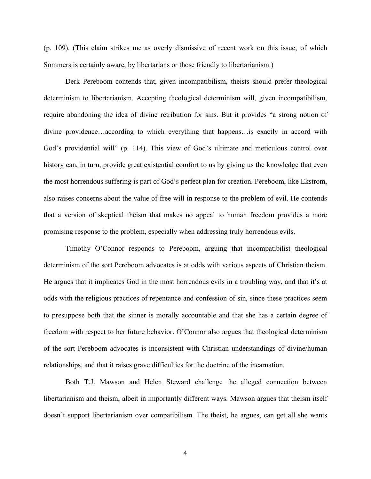(p. 109). (This claim strikes me as overly dismissive of recent work on this issue, of which Sommers is certainly aware, by libertarians or those friendly to libertarianism.)

Derk Pereboom contends that, given incompatibilism, theists should prefer theological determinism to libertarianism. Accepting theological determinism will, given incompatibilism, require abandoning the idea of divine retribution for sins. But it provides "a strong notion of divine providence…according to which everything that happens…is exactly in accord with God's providential will" (p. 114). This view of God's ultimate and meticulous control over history can, in turn, provide great existential comfort to us by giving us the knowledge that even the most horrendous suffering is part of God's perfect plan for creation. Pereboom, like Ekstrom, also raises concerns about the value of free will in response to the problem of evil. He contends that a version of skeptical theism that makes no appeal to human freedom provides a more promising response to the problem, especially when addressing truly horrendous evils.

Timothy O'Connor responds to Pereboom, arguing that incompatibilist theological determinism of the sort Pereboom advocates is at odds with various aspects of Christian theism. He argues that it implicates God in the most horrendous evils in a troubling way, and that it's at odds with the religious practices of repentance and confession of sin, since these practices seem to presuppose both that the sinner is morally accountable and that she has a certain degree of freedom with respect to her future behavior. O'Connor also argues that theological determinism of the sort Pereboom advocates is inconsistent with Christian understandings of divine/human relationships, and that it raises grave difficulties for the doctrine of the incarnation.

Both T.J. Mawson and Helen Steward challenge the alleged connection between libertarianism and theism, albeit in importantly different ways. Mawson argues that theism itself doesn't support libertarianism over compatibilism. The theist, he argues, can get all she wants

4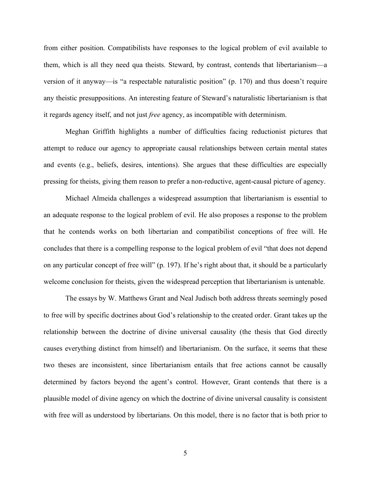from either position. Compatibilists have responses to the logical problem of evil available to them, which is all they need qua theists. Steward, by contrast, contends that libertarianism—a version of it anyway—is "a respectable naturalistic position" (p. 170) and thus doesn't require any theistic presuppositions. An interesting feature of Steward's naturalistic libertarianism is that it regards agency itself, and not just *free* agency, as incompatible with determinism.

Meghan Griffith highlights a number of difficulties facing reductionist pictures that attempt to reduce our agency to appropriate causal relationships between certain mental states and events (e.g., beliefs, desires, intentions). She argues that these difficulties are especially pressing for theists, giving them reason to prefer a non-reductive, agent-causal picture of agency.

Michael Almeida challenges a widespread assumption that libertarianism is essential to an adequate response to the logical problem of evil. He also proposes a response to the problem that he contends works on both libertarian and compatibilist conceptions of free will. He concludes that there is a compelling response to the logical problem of evil "that does not depend on any particular concept of free will" (p. 197). If he's right about that, it should be a particularly welcome conclusion for theists, given the widespread perception that libertarianism is untenable.

The essays by W. Matthews Grant and Neal Judisch both address threats seemingly posed to free will by specific doctrines about God's relationship to the created order. Grant takes up the relationship between the doctrine of divine universal causality (the thesis that God directly causes everything distinct from himself) and libertarianism. On the surface, it seems that these two theses are inconsistent, since libertarianism entails that free actions cannot be causally determined by factors beyond the agent's control. However, Grant contends that there is a plausible model of divine agency on which the doctrine of divine universal causality is consistent with free will as understood by libertarians. On this model, there is no factor that is both prior to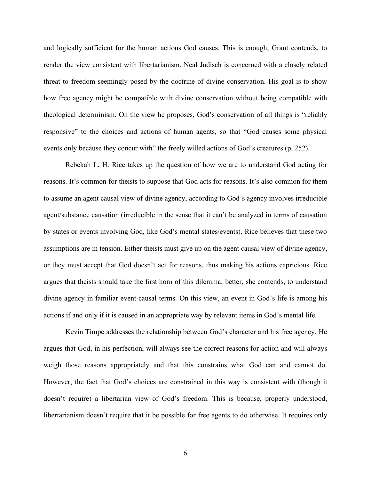and logically sufficient for the human actions God causes. This is enough, Grant contends, to render the view consistent with libertarianism. Neal Judisch is concerned with a closely related threat to freedom seemingly posed by the doctrine of divine conservation. His goal is to show how free agency might be compatible with divine conservation without being compatible with theological determinism. On the view he proposes, God's conservation of all things is "reliably responsive" to the choices and actions of human agents, so that "God causes some physical events only because they concur with" the freely willed actions of God's creatures (p. 252).

Rebekah L. H. Rice takes up the question of how we are to understand God acting for reasons. It's common for theists to suppose that God acts for reasons. It's also common for them to assume an agent causal view of divine agency, according to God's agency involves irreducible agent/substance causation (irreducible in the sense that it can't be analyzed in terms of causation by states or events involving God, like God's mental states/events). Rice believes that these two assumptions are in tension. Either theists must give up on the agent causal view of divine agency, or they must accept that God doesn't act for reasons, thus making his actions capricious. Rice argues that theists should take the first horn of this dilemma; better, she contends, to understand divine agency in familiar event-causal terms. On this view, an event in God's life is among his actions if and only if it is caused in an appropriate way by relevant items in God's mental life.

Kevin Timpe addresses the relationship between God's character and his free agency. He argues that God, in his perfection, will always see the correct reasons for action and will always weigh those reasons appropriately and that this constrains what God can and cannot do. However, the fact that God's choices are constrained in this way is consistent with (though it doesn't require) a libertarian view of God's freedom. This is because, properly understood, libertarianism doesn't require that it be possible for free agents to do otherwise. It requires only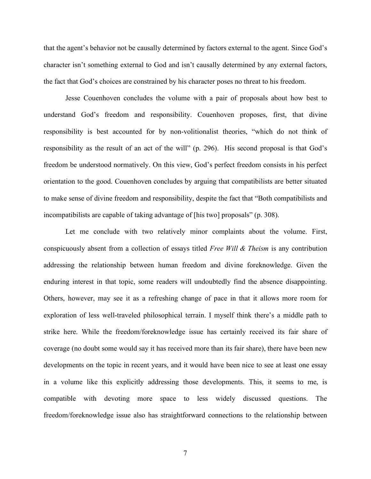that the agent's behavior not be causally determined by factors external to the agent. Since God's character isn't something external to God and isn't causally determined by any external factors, the fact that God's choices are constrained by his character poses no threat to his freedom.

Jesse Couenhoven concludes the volume with a pair of proposals about how best to understand God's freedom and responsibility. Couenhoven proposes, first, that divine responsibility is best accounted for by non-volitionalist theories, "which do not think of responsibility as the result of an act of the will" (p. 296). His second proposal is that God's freedom be understood normatively. On this view, God's perfect freedom consists in his perfect orientation to the good. Couenhoven concludes by arguing that compatibilists are better situated to make sense of divine freedom and responsibility, despite the fact that "Both compatibilists and incompatibilists are capable of taking advantage of [his two] proposals" (p. 308).

Let me conclude with two relatively minor complaints about the volume. First, conspicuously absent from a collection of essays titled *Free Will & Theism* is any contribution addressing the relationship between human freedom and divine foreknowledge. Given the enduring interest in that topic, some readers will undoubtedly find the absence disappointing. Others, however, may see it as a refreshing change of pace in that it allows more room for exploration of less well-traveled philosophical terrain. I myself think there's a middle path to strike here. While the freedom/foreknowledge issue has certainly received its fair share of coverage (no doubt some would say it has received more than its fair share), there have been new developments on the topic in recent years, and it would have been nice to see at least one essay in a volume like this explicitly addressing those developments. This, it seems to me, is compatible with devoting more space to less widely discussed questions. The freedom/foreknowledge issue also has straightforward connections to the relationship between